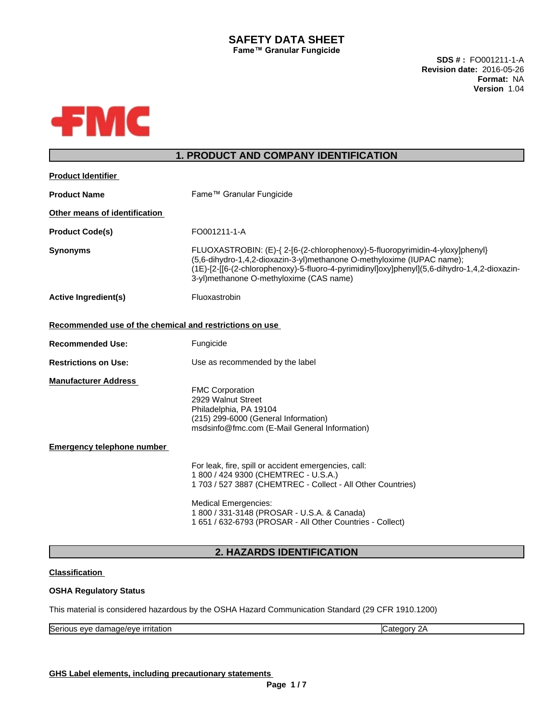# **SAFETY DATA SHEET Fame™ Granular Fungicide**

**SDS # :** FO001211-1-A **Revision date:** 2016-05-26 **Format:** NA **Version** 1.04



# **1. PRODUCT AND COMPANY IDENTIFICATION**

| (1E)-[2-[[6-(2-chlorophenoxy)-5-fluoro-4-pyrimidinyl]oxy]phenyl](5,6-dihydro-1,4,2-dioxazin- |
|----------------------------------------------------------------------------------------------|
|                                                                                              |
|                                                                                              |
|                                                                                              |
|                                                                                              |
|                                                                                              |
|                                                                                              |
|                                                                                              |
|                                                                                              |
|                                                                                              |

# **2. HAZARDS IDENTIFICATION**

# **Classification**

## **OSHA Regulatory Status**

This material is considered hazardous by the OSHA Hazard Communication Standard (29 CFR 1910.1200)

| $\sim$<br>.<br>$\sim$ $\sim$<br>∼<br>יי י<br>7F.<br>ונכונוטו |
|--------------------------------------------------------------|
|--------------------------------------------------------------|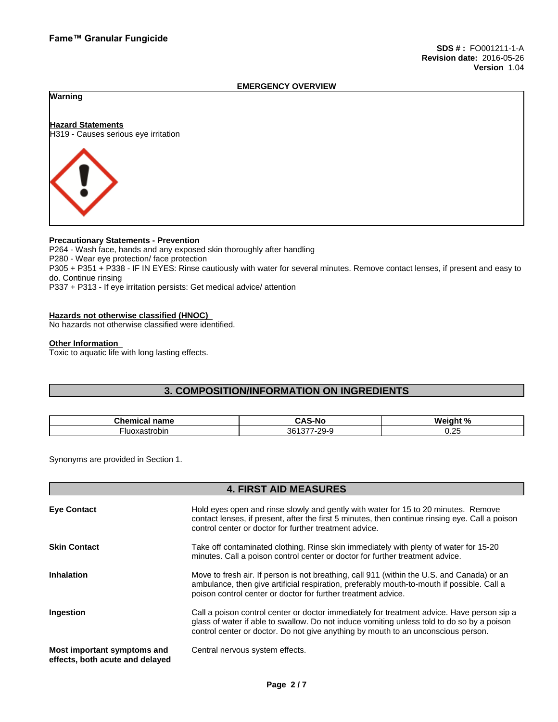### **EMERGENCY OVERVIEW**

## **Warning**

**Hazard Statements** H319 - Causes serious eye irritation



## **Precautionary Statements - Prevention**

P264 - Wash face, hands and any exposed skin thoroughly after handling P280 - Wear eye protection/ face protection P305 + P351 + P338 - IF IN EYES: Rinse cautiously with water forseveral minutes. Remove contact lenses, if present and easy to do. Continue rinsing P337 + P313 - If eye irritation persists: Get medical advice/ attention

### **Hazards not otherwise classified (HNOC)**

No hazards not otherwise classified were identified.

### **Other Information**

Toxic to aquatic life with long lasting effects.

# **3. COMPOSITION/INFORMATION ON INGREDIENTS**

| $\sim$ $\sim$ $\sim$ $\sim$<br>name<br>micai:<br>-- | -                                     | $M$ ainht % |
|-----------------------------------------------------|---------------------------------------|-------------|
| oxastrobin                                          | $\sim$<br>$\sim$<br>-26<br>ູນບ<br>- 1 | . .<br>◡.←  |

Synonyms are provided in Section 1.

## **4. FIRST AID MEASURES**

| <b>Eye Contact</b>                                             | Hold eyes open and rinse slowly and gently with water for 15 to 20 minutes. Remove                                                                                                                                                                                            |
|----------------------------------------------------------------|-------------------------------------------------------------------------------------------------------------------------------------------------------------------------------------------------------------------------------------------------------------------------------|
|                                                                | contact lenses, if present, after the first 5 minutes, then continue rinsing eye. Call a poison<br>control center or doctor for further treatment advice.                                                                                                                     |
| <b>Skin Contact</b>                                            | Take off contaminated clothing. Rinse skin immediately with plenty of water for 15-20<br>minutes. Call a poison control center or doctor for further treatment advice.                                                                                                        |
| <b>Inhalation</b>                                              | Move to fresh air. If person is not breathing, call 911 (within the U.S. and Canada) or an<br>ambulance, then give artificial respiration, preferably mouth-to-mouth if possible. Call a<br>poison control center or doctor for further treatment advice.                     |
| Ingestion                                                      | Call a poison control center or doctor immediately for treatment advice. Have person sip a<br>glass of water if able to swallow. Do not induce vomiting unless told to do so by a poison<br>control center or doctor. Do not give anything by mouth to an unconscious person. |
| Most important symptoms and<br>effects, both acute and delayed | Central nervous system effects.                                                                                                                                                                                                                                               |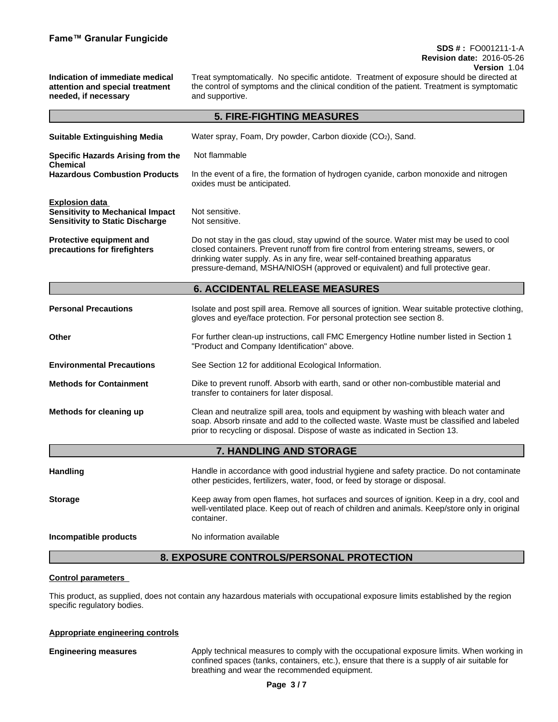## **SDS # :** FO001211-1-A **Revision date:** 2016-05-26 **Version** 1.04

**Indication of immediate medical attention and special treatment needed, if necessary** Treat symptomatically. No specific antidote. Treatment of exposure should be directed at the control of symptoms and the clinical condition of the patient. Treatment is symptomatic and supportive. **5. FIRE-FIGHTING MEASURES Suitable Extinguishing Media** Water spray, Foam, Dry powder, Carbon dioxide (CO2), Sand. **Specific Hazards Arising from the Chemical** Not flammable **Hazardous Combustion Products** In the event of a fire, the formation of hydrogen cyanide, carbon monoxide and nitrogen oxides must be anticipated. **Explosion data Sensitivity to Mechanical Impact** Not sensitive. **Sensitivity to Static Discharge Not sensitive. Protective equipment and precautions for firefighters** Do not stay in the gas cloud, stay upwind of the source. Water mist may be used to cool closed containers. Prevent runoff from fire control from entering streams, sewers, or drinking water supply. As in any fire, wear self-contained breathing apparatus pressure-demand, MSHA/NIOSH (approved or equivalent) and full protective gear. **6. ACCIDENTAL RELEASE MEASURES Personal Precautions** Isolate and post spill area. Remove all sources of ignition. Wear suitable protective clothing, gloves and eye/face protection. For personal protection see section 8. **Other Example 20 For further clean-up instructions, call FMC Emergency Hotline number listed in Section 1** "Product and Company Identification" above. **Environmental Precautions** See Section 12 for additional Ecological Information. **Methods for Containment** Dike to prevent runoff. Absorb with earth, sand or other non-combustible material and transfer to containers for later disposal. **Methods for cleaning up** Clean and neutralize spill area, tools and equipment by washing with bleach water and soap. Absorb rinsate and add to the collected waste. Waste must be classified and labeled prior to recycling or disposal. Dispose of waste as indicated in Section 13.**7. HANDLING AND STORAGE** Handling **Handle in accordance with good industrial hygiene and safety practice. Do not contaminate** other pesticides, fertilizers, water, food, or feed by storage or disposal. **Storage** Keep away from open flames, hot surfaces and sources of ignition. Keep in a dry, cool and well-ventilated place. Keep out of reach of children and animals. Keep/store only in original container. **Incompatible products** No information available **8. EXPOSURE CONTROLS/PERSONAL PROTECTION**

### **Control parameters**

This product, as supplied, does not contain any hazardous materials with occupational exposure limits established by the region specific regulatory bodies.

### **Appropriate engineering controls**

**Engineering measures** Apply technical measures to comply with the occupational exposure limits. When working in confined spaces (tanks, containers, etc.), ensure that there is a supply of air suitable for breathing and wear the recommended equipment.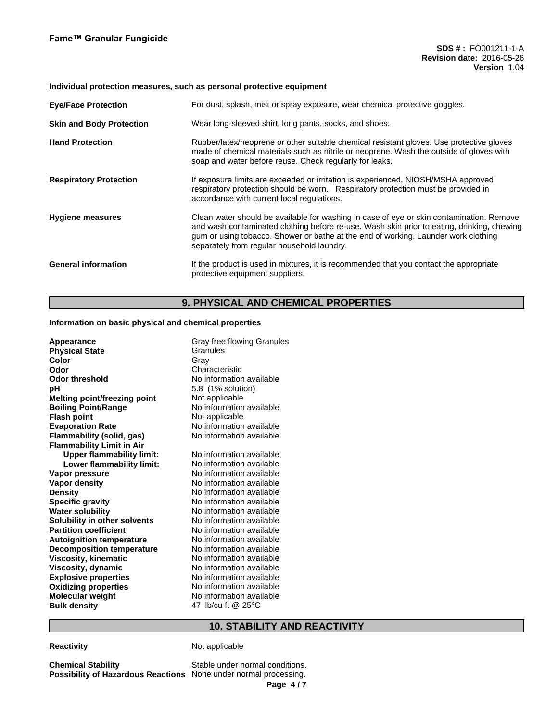### **Individual protection measures, such as personal protective equipment**

| <b>Eye/Face Protection</b>      | For dust, splash, mist or spray exposure, wear chemical protective goggles.                                                                                                                                                                                                                                                |
|---------------------------------|----------------------------------------------------------------------------------------------------------------------------------------------------------------------------------------------------------------------------------------------------------------------------------------------------------------------------|
| <b>Skin and Body Protection</b> | Wear long-sleeved shirt, long pants, socks, and shoes.                                                                                                                                                                                                                                                                     |
| <b>Hand Protection</b>          | Rubber/latex/neoprene or other suitable chemical resistant gloves. Use protective gloves<br>made of chemical materials such as nitrile or neoprene. Wash the outside of gloves with<br>soap and water before reuse. Check regularly for leaks.                                                                             |
| <b>Respiratory Protection</b>   | If exposure limits are exceeded or irritation is experienced, NIOSH/MSHA approved<br>respiratory protection should be worn. Respiratory protection must be provided in<br>accordance with current local regulations.                                                                                                       |
| <b>Hygiene measures</b>         | Clean water should be available for washing in case of eye or skin contamination. Remove<br>and wash contaminated clothing before re-use. Wash skin prior to eating, drinking, chewing<br>gum or using tobacco. Shower or bathe at the end of working. Launder work clothing<br>separately from regular household laundry. |
| <b>General information</b>      | If the product is used in mixtures, it is recommended that you contact the appropriate<br>protective equipment suppliers.                                                                                                                                                                                                  |

# **9. PHYSICAL AND CHEMICAL PROPERTIES**

## **Information on basic physical and chemical properties**

| Appearance<br><b>Physical State</b><br>Color<br>Odor<br>Odor threshold<br>рH<br><b>Melting point/freezing point</b><br><b>Boiling Point/Range</b><br><b>Flash point</b><br><b>Evaporation Rate</b><br>Flammability (solid, gas)<br><b>Flammability Limit in Air</b><br><b>Upper flammability limit:</b><br>Lower flammability limit:<br>Vapor pressure<br><b>Vapor density</b><br><b>Density</b><br><b>Specific gravity</b><br><b>Water solubility</b><br>Solubility in other solvents<br><b>Partition coefficient</b><br><b>Autoignition temperature</b><br><b>Decomposition temperature</b><br><b>Viscosity, kinematic</b><br>Viscosity, dynamic<br><b>Explosive properties</b><br><b>Oxidizing properties</b><br><b>Molecular weight</b> | Gray free flowing Granules<br>Granules<br>Grav<br>Characteristic<br>No information available<br>5.8 (1% solution)<br>Not applicable<br>No information available<br>Not applicable<br>No information available<br>No information available<br>No information available<br>No information available<br>No information available<br>No information available<br>No information available<br>No information available<br>No information available<br>No information available<br>No information available<br>No information available<br>No information available<br>No information available<br>No information available<br>No information available<br>No information available<br>No information available |
|---------------------------------------------------------------------------------------------------------------------------------------------------------------------------------------------------------------------------------------------------------------------------------------------------------------------------------------------------------------------------------------------------------------------------------------------------------------------------------------------------------------------------------------------------------------------------------------------------------------------------------------------------------------------------------------------------------------------------------------------|-----------------------------------------------------------------------------------------------------------------------------------------------------------------------------------------------------------------------------------------------------------------------------------------------------------------------------------------------------------------------------------------------------------------------------------------------------------------------------------------------------------------------------------------------------------------------------------------------------------------------------------------------------------------------------------------------------------|
| <b>Bulk density</b>                                                                                                                                                                                                                                                                                                                                                                                                                                                                                                                                                                                                                                                                                                                         | 47 lb/cu ft @ 25°C                                                                                                                                                                                                                                                                                                                                                                                                                                                                                                                                                                                                                                                                                        |

# **10. STABILITY AND REACTIVITY**

# **Reactivity Not applicable**

**Chemical Stability** Stable under normal conditions. **Possibility of Hazardous Reactions** None under normal processing.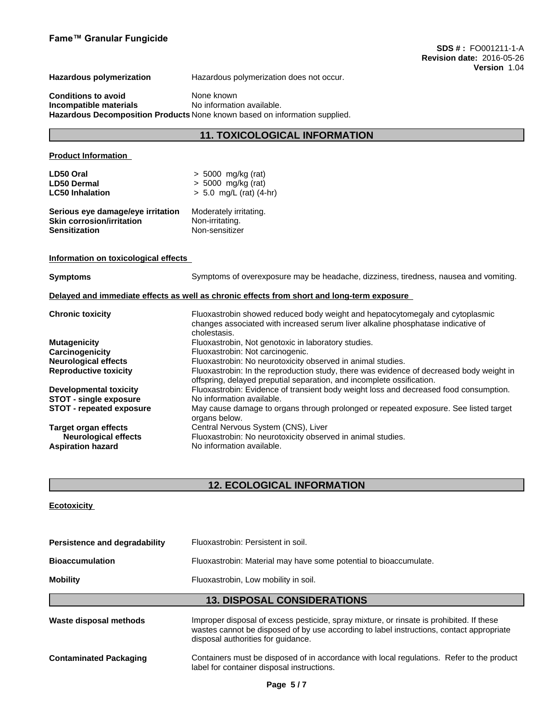**Hazardous polymerization** Hazardous polymerization does not occur.

**Conditions to avoid**<br> **Incompatible materials**<br>
No information available. **Incompatible materials Hazardous Decomposition Products** None known based on information supplied.

# **11. TOXICOLOGICAL INFORMATION**

## **Product Information**

| LD50 Oral                         | $> 5000$ mg/kg (rat)      |
|-----------------------------------|---------------------------|
| <b>LD50 Dermal</b>                | $> 5000$ mg/kg (rat)      |
| <b>LC50 Inhalation</b>            | $> 5.0$ mg/L (rat) (4-hr) |
|                                   |                           |
| Serious eye damage/eye irritation | Moderately irritating.    |
| <b>Skin corrosion/irritation</b>  | Non-irritating.           |
| <b>Sensitization</b>              | Non-sensitizer            |

**Information on toxicological effects**

**Symptoms** Symptoms of overexposure may be headache, dizziness, tiredness, nausea and vomiting.

**Delayed and immediate effects as well as chronic effects from short and long-term exposure**

| <b>Chronic toxicity</b>       | Fluoxastrobin showed reduced body weight and hepatocytomegaly and cytoplasmic                                                                                     |
|-------------------------------|-------------------------------------------------------------------------------------------------------------------------------------------------------------------|
|                               | changes associated with increased serum liver alkaline phosphatase indicative of<br>cholestasis.                                                                  |
| <b>Mutagenicity</b>           | Fluoxastrobin, Not genotoxic in laboratory studies.                                                                                                               |
| Carcinogenicity               | Fluoxastrobin: Not carcinogenic.                                                                                                                                  |
| <b>Neurological effects</b>   | Fluoxastrobin: No neurotoxicity observed in animal studies.                                                                                                       |
| <b>Reproductive toxicity</b>  | Fluoxastrobin: In the reproduction study, there was evidence of decreased body weight in<br>offspring, delayed preputial separation, and incomplete ossification. |
| <b>Developmental toxicity</b> | Fluoxastrobin: Evidence of transient body weight loss and decreased food consumption.                                                                             |
| <b>STOT - single exposure</b> | No information available.                                                                                                                                         |
| STOT - repeated exposure      | May cause damage to organs through prolonged or repeated exposure. See listed target<br>organs below.                                                             |
| <b>Target organ effects</b>   | Central Nervous System (CNS), Liver                                                                                                                               |
| <b>Neurological effects</b>   | Fluoxastrobin: No neurotoxicity observed in animal studies.                                                                                                       |
| <b>Aspiration hazard</b>      | No information available.                                                                                                                                         |
|                               |                                                                                                                                                                   |

# **12. ECOLOGICAL INFORMATION**

# **Ecotoxicity**

| Persistence and degradability | Fluoxastrobin: Persistent in soil.                                                                                                                                                                                         |
|-------------------------------|----------------------------------------------------------------------------------------------------------------------------------------------------------------------------------------------------------------------------|
| <b>Bioaccumulation</b>        | Fluoxastrobin: Material may have some potential to bioaccumulate.                                                                                                                                                          |
| <b>Mobility</b>               | Fluoxastrobin, Low mobility in soil.                                                                                                                                                                                       |
|                               | <b>13. DISPOSAL CONSIDERATIONS</b>                                                                                                                                                                                         |
| Waste disposal methods        | Improper disposal of excess pesticide, spray mixture, or rinsate is prohibited. If these<br>wastes cannot be disposed of by use according to label instructions, contact appropriate<br>disposal authorities for quidance. |

**Contaminated Packaging** Containers must be disposed of in accordance with local regulations. Refer to the product label for container disposal instructions.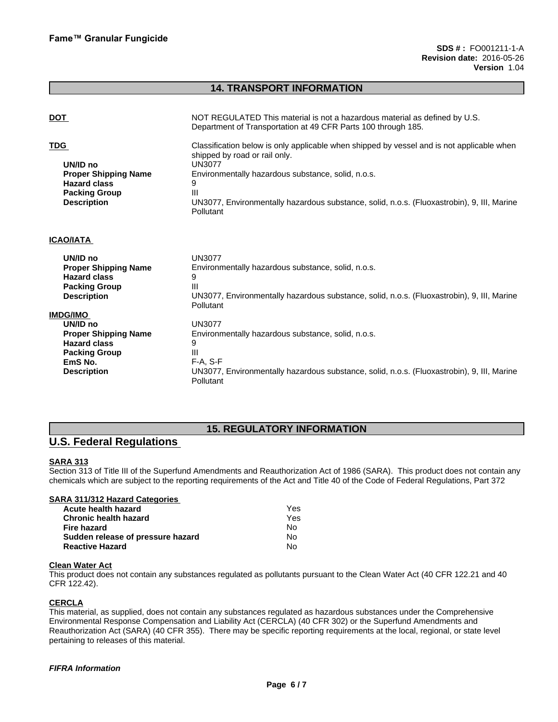# **14. TRANSPORT INFORMATION**

| <b>DOT</b>                                                                                                                                 | NOT REGULATED This material is not a hazardous material as defined by U.S.<br>Department of Transportation at 49 CFR Parts 100 through 185.                                                                                                                                                                                   |
|--------------------------------------------------------------------------------------------------------------------------------------------|-------------------------------------------------------------------------------------------------------------------------------------------------------------------------------------------------------------------------------------------------------------------------------------------------------------------------------|
| <b>TDG</b><br>UN/ID no<br><b>Proper Shipping Name</b><br><b>Hazard class</b><br><b>Packing Group</b><br><b>Description</b>                 | Classification below is only applicable when shipped by vessel and is not applicable when<br>shipped by road or rail only.<br><b>UN3077</b><br>Environmentally hazardous substance, solid, n.o.s.<br>9<br>Ш<br>UN3077, Environmentally hazardous substance, solid, n.o.s. (Fluoxastrobin), 9, III, Marine<br><b>Pollutant</b> |
| <b>ICAO/IATA</b>                                                                                                                           |                                                                                                                                                                                                                                                                                                                               |
| UN/ID no<br><b>Proper Shipping Name</b><br><b>Hazard class</b><br><b>Packing Group</b><br><b>Description</b>                               | UN3077<br>Environmentally hazardous substance, solid, n.o.s.<br>Ш<br>UN3077, Environmentally hazardous substance, solid, n.o.s. (Fluoxastrobin), 9, III, Marine<br><b>Pollutant</b>                                                                                                                                           |
| <b>IMDG/IMO</b><br>UN/ID no<br><b>Proper Shipping Name</b><br><b>Hazard class</b><br><b>Packing Group</b><br>EmS No.<br><b>Description</b> | <b>UN3077</b><br>Environmentally hazardous substance, solid, n.o.s.<br>9<br>Ш<br>$F-A. S-F$<br>UN3077, Environmentally hazardous substance, solid, n.o.s. (Fluoxastrobin), 9, III, Marine<br><b>Pollutant</b>                                                                                                                 |

# **15. REGULATORY INFORMATION**

# **U.S. Federal Regulations**

# **SARA 313**

Section 313 of Title III of the Superfund Amendments and Reauthorization Act of 1986 (SARA). This product does not contain any chemicals which are subject to the reporting requirements of the Act and Title 40 of the Code of Federal Regulations, Part 372

# **SARA 311/312 Hazard Categories**

| Acute health hazard               | Yes |
|-----------------------------------|-----|
| <b>Chronic health hazard</b>      | Yes |
| Fire hazard                       | No  |
| Sudden release of pressure hazard | No. |
| <b>Reactive Hazard</b>            | No  |

### **Clean Water Act**

This product does not contain any substances regulated as pollutants pursuant to the Clean Water Act (40 CFR 122.21 and 40 CFR 122.42).

# **CERCLA**

This material, as supplied, does not contain any substances regulated as hazardous substances under the Comprehensive Environmental Response Compensation and Liability Act (CERCLA) (40 CFR 302) or the Superfund Amendments and Reauthorization Act (SARA) (40 CFR 355). There may be specific reporting requirements at the local, regional, or state level pertaining to releases of this material.